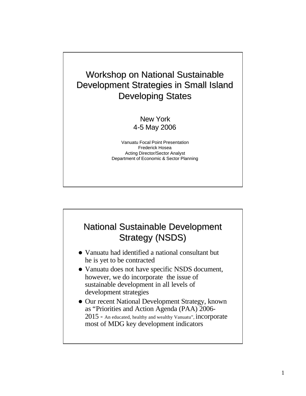Workshop on National Sustainable Development Strategies in Small Island Developing States

#### New York 4-5 May 2006

Vanuatu Focal Point Presentation Frederick Hosea Acting Director/Sector Analyst Department of Economic & Sector Planning

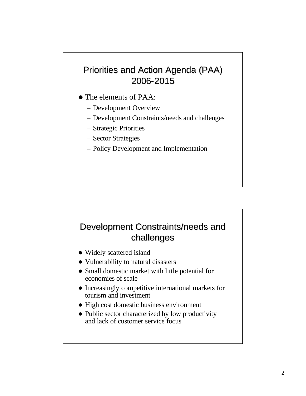## Priorities and Action Agenda (PAA) 2006-2015

- The elements of PAA:
	- Development Overview
	- Development Constraints/needs and challenges
	- Strategic Priorities
	- Sector Strategies
	- Policy Development and Implementation

## Development Constraints/needs and challenges

- Widely scattered island
- Vulnerability to natural disasters
- Small domestic market with little potential for economies of scale
- Increasingly competitive international markets for tourism and investment
- High cost domestic business environment
- Public sector characterized by low productivity and lack of customer service focus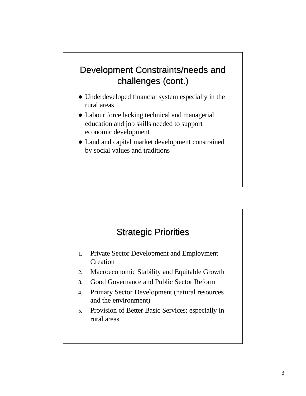## Development Constraints/needs and challenges (cont.)

- Underdeveloped financial system especially in the rural areas
- Labour force lacking technical and managerial education and job skills needed to support economic development
- Land and capital market development constrained by social values and traditions

## Strategic Priorities

- 1. Private Sector Development and Employment **Creation**
- 2. Macroeconomic Stability and Equitable Growth
- 3. Good Governance and Public Sector Reform
- 4. Primary Sector Development (natural resources and the environment)
- 5. Provision of Better Basic Services; especially in rural areas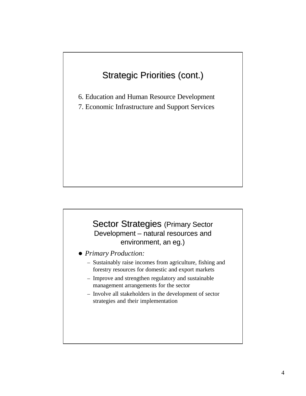## Strategic Priorities (cont.)

6. Education and Human Resource Development

7. Economic Infrastructure and Support Services

#### Sector Strategies (Primary Sector Development – natural resources and environment, an eg.)

- **Primary Production:** 
	- Sustainably raise incomes from agriculture, fishing and forestry resources for domestic and export markets
	- Improve and strengthen regulatory and sustainable management arrangements for the sector
	- Involve all stakeholders in the development of sector strategies and their implementation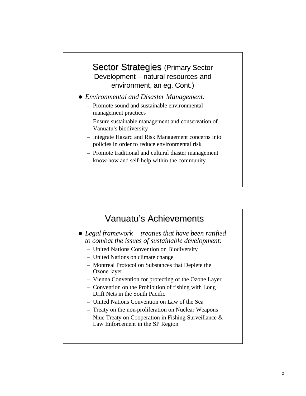#### Sector Strategies (Primary Sector Development – natural resources and environment, an eg. Cont.)

- l *Environmental and Disaster Management:*
	- Promote sound and sustainable environmental management practices
	- Ensure sustainable management and conservation of Vanuatu's biodiversity
	- Integrate Hazard and Risk Management concerns into policies in order to reduce environmental risk
	- Promote traditional and cultural diaster management know-how and self-help within the community

# Vanuatu's Achievements

- l *Legal framework – treaties that have been ratified to combat the issues of sustainable development:*
	- United Nations Convention on Biodiversity
	- United Nations on climate change
	- Montreal Protocol on Substances that Deplete the Ozone layer
	- Vienna Convention for protecting of the Ozone Layer
	- Convention on the Prohibition of fishing with Long Drift Nets in the South Pacific
	- United Nations Convention on Law of the Sea
	- Treaty on the non-proliferation on Nuclear Weapons
	- Niue Treaty on Cooperation in Fishing Surveillance  $\&$ Law Enforcement in the SP Region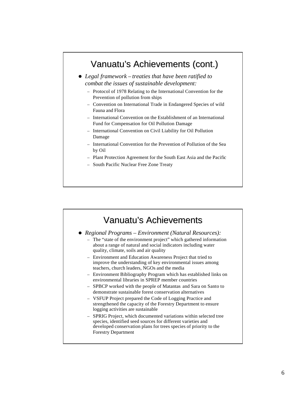## Vanuatu's Achievements (cont.)

**•** Legal framework – *treaties that have been ratified to combat the issues of sustainable development:*

- Protocol of 1978 Relating to the International Convention for the Prevention of pollution from ships
- Convention on International Trade in Endangered Species of wild Fauna and Flora
- International Convention on the Establishment of an International Fund for Compensation for Oil Pollution Damage
- International Convention on Civil Liability for Oil Pollution Damage
- International Convention for the Prevention of Pollution of the Sea by Oil
- Plant Protection Agreement for the South East Asia and the Pacific
- South Pacific Nuclear Free Zone Treaty

#### Vanuatu's Achievements

- l *Regional Programs – Environment (Natural Resources):*
	- The "state of the environment project" which gathered information about a range of natural and social indicators including water quality, climate, soils and air quality
	- Environment and Education Awareness Project that tried to improve the understanding of key environmental issues among teachers, church leaders, NGOs and the media
	- Environment Bibliography Program which has established links on environmental libraries in SPREP member countries
	- SPBCP worked with the people of Matantas and Sara on Santo to demonstrate sustainable forest conservation alternatives
	- VSFUP Project prepared the Code of Logging Practice and strengthened the capacity of the Forestry Department to ensure logging activities are sustainable
	- SPRIG Project, which documented variations within selected tree species, identified seed sources for different varieties and developed conservation plans for trees species of priority to the Forestry Department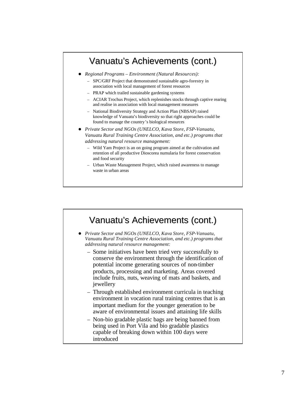## Vanuatu's Achievements (cont.)

- l *Regional Programs – Environment (Natural Resources):*
	- SPC/GRF Project that demonstrated sustainable agro-forestry in association with local management of forest resources
	- PRAP which trailed sustainable gardening systems
	- ACIAR Trochus Project, which replenishes stocks through captive rearing and realise in association with local management measures
	- National Biodiversity Strategy and Action Plan (NBSAP) raised knowledge of Vanuatu's biodiversity so that right approaches could be found to manage the country's biological resources
- **•** Private Sector and NGOs (UNELCO, Kava Store, FSP-Vanuatu, *Vanuatu Rural Training Centre Association, and etc.) programs that addressing natural resource management:*
	- Wild Yam Project is an on going program aimed at the cultivation and retention of all productive Dioscorea numularia for forest conservation and food security
	- Urban Waste Management Project, which raised awareness to manage waste in urban areas

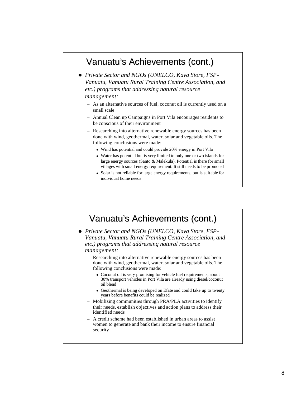## Vanuatu's Achievements (cont.)

- **•** Private Sector and NGOs (UNELCO, Kava Store, FSP-*Vanuatu, Vanuatu Rural Training Centre Association, and etc.) programs that addressing natural resource management:*
	- As an alternative sources of fuel, coconut oil is currently used on a small scale
	- Annual Clean up Campaigns in Port Vila encourages residents to be conscious of their environment
	- Researching into alternative renewable energy sources has been done with wind, geothermal, water, solar and vegetable oils. The following conclusions were made:
		- Wind has potential and could provide 20% energy in Port Vila
		- Water has potential but is very limited to only one or two islands for large energy sources (Santo & Malekula). Potential is there for small villages with small energy requirement. It still needs to be promoted
		- Solar is not reliable for large energy requirements, but is suitable for individual home needs